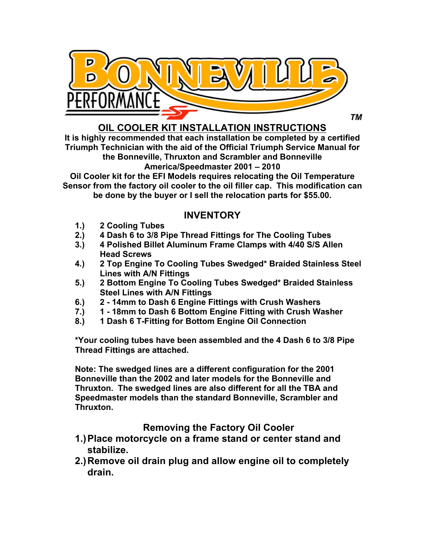

*TM*

**OIL COOLER KIT INSTALLATION INSTRUCTIONS**

**It is highly recommended that each installation be completed by a certified Triumph Technician with the aid of the Official Triumph Service Manual for the Bonneville, Thruxton and Scrambler and Bonneville America/Speedmaster 2001 – 2010**

**Oil Cooler kit for the EFI Models requires relocating the Oil Temperature Sensor from the factory oil cooler to the oil filler cap. This modification can be done by the buyer or I sell the relocation parts for \$55.00.**

## **INVENTORY**

- **1.) 2 Cooling Tubes**
- **2.) 4 Dash 6 to 3/8 Pipe Thread Fittings for The Cooling Tubes**
- **3.) 4 Polished Billet Aluminum Frame Clamps with 4/40 S/S Allen Head Screws**
- **4.) 2 Top Engine To Cooling Tubes Swedged\* Braided Stainless Steel Lines with A/N Fittings**
- **5.) 2 Bottom Engine To Cooling Tubes Swedged\* Braided Stainless Steel Lines with A/N Fittings**
- **6.) 2 - 14mm to Dash 6 Engine Fittings with Crush Washers**
- **7.) 1 - 18mm to Dash 6 Bottom Engine Fitting with Crush Washer**
- **8.) 1 Dash 6 T-Fitting for Bottom Engine Oil Connection**

**\*Your cooling tubes have been assembled and the 4 Dash 6 to 3/8 Pipe Thread Fittings are attached.**

**Note: The swedged lines are a different configuration for the 2001 Bonneville than the 2002 and later models for the Bonneville and Thruxton. The swedged lines are also different for all the TBA and Speedmaster models than the standard Bonneville, Scrambler and Thruxton.**

## **Removing the Factory Oil Cooler**

- **1.)Place motorcycle on a frame stand or center stand and stabilize.**
- **2.)Remove oil drain plug and allow engine oil to completely drain.**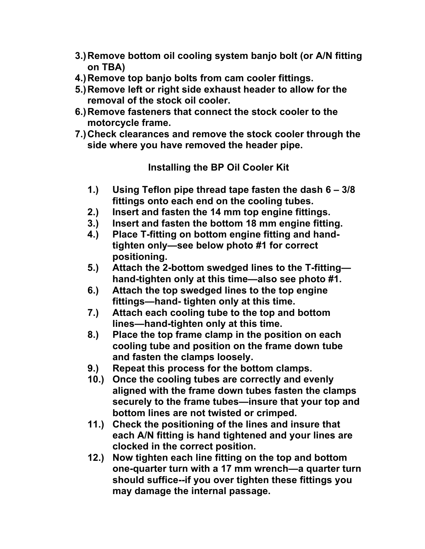- **3.)Remove bottom oil cooling system banjo bolt (or A/N fitting on TBA)**
- **4.)Remove top banjo bolts from cam cooler fittings.**
- **5.)Remove left or right side exhaust header to allow for the removal of the stock oil cooler.**
- **6.)Remove fasteners that connect the stock cooler to the motorcycle frame.**
- **7.)Check clearances and remove the stock cooler through the side where you have removed the header pipe.**

**Installing the BP Oil Cooler Kit**

- **1.) Using Teflon pipe thread tape fasten the dash 6 – 3/8 fittings onto each end on the cooling tubes.**
- **2.) Insert and fasten the 14 mm top engine fittings.**
- **3.) Insert and fasten the bottom 18 mm engine fitting.**
- **4.) Place T-fitting on bottom engine fitting and handtighten only—see below photo #1 for correct positioning.**
- **5.) Attach the 2-bottom swedged lines to the T-fitting hand-tighten only at this time—also see photo #1.**
- **6.) Attach the top swedged lines to the top engine fittings—hand- tighten only at this time.**
- **7.) Attach each cooling tube to the top and bottom lines—hand-tighten only at this time.**
- **8.) Place the top frame clamp in the position on each cooling tube and position on the frame down tube and fasten the clamps loosely.**
- **9.) Repeat this process for the bottom clamps.**
- **10.) Once the cooling tubes are correctly and evenly aligned with the frame down tubes fasten the clamps securely to the frame tubes—insure that your top and bottom lines are not twisted or crimped.**
- **11.) Check the positioning of the lines and insure that each A/N fitting is hand tightened and your lines are clocked in the correct position.**
- **12.) Now tighten each line fitting on the top and bottom one-quarter turn with a 17 mm wrench—a quarter turn should suffice--if you over tighten these fittings you may damage the internal passage.**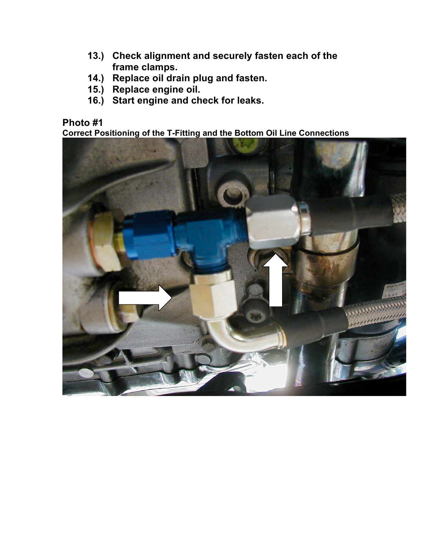- **13.) Check alignment and securely fasten each of the frame clamps.**
- **14.) Replace oil drain plug and fasten.**
- **15.) Replace engine oil.**
- **16.) Start engine and check for leaks.**

## **Photo #1**

**Correct Positioning of the T-Fitting and the Bottom Oil Line Connections**

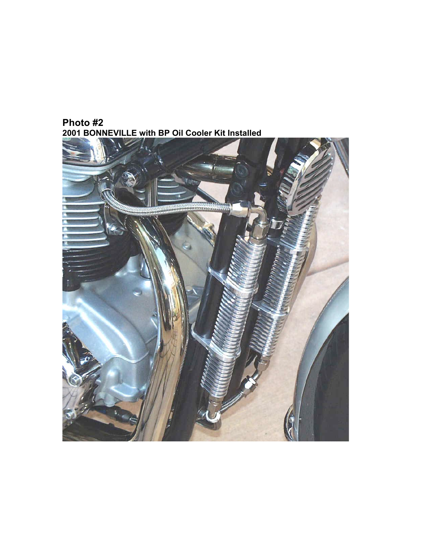

**Photo #2 2001 BONNEVILLE with BP Oil Cooler Kit Installed**